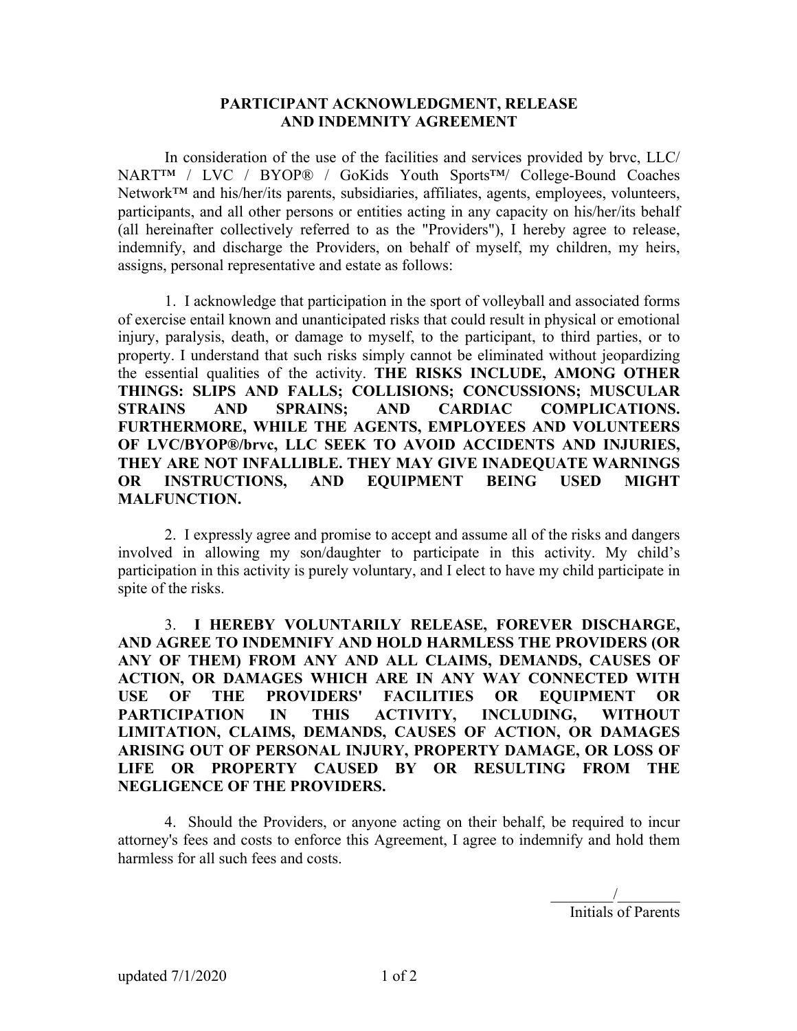## **PARTICIPANT ACKNOWLEDGMENT, RELEASE AND INDEMNITY AGREEMENT**

In consideration of the use of the facilities and services provided by brvc, LLC/ NART™ / LVC / BYOP® / GoKids Youth Sports™/ College-Bound Coaches Network<sup>™</sup> and his/her/its parents, subsidiaries, affiliates, agents, employees, volunteers, participants, and all other persons or entities acting in any capacity on his/her/its behalf (all hereinafter collectively referred to as the "Providers"), I hereby agree to release, indemnify, and discharge the Providers, on behalf of myself, my children, my heirs, assigns, personal representative and estate as follows:

1. I acknowledge that participation in the sport of volleyball and associated forms of exercise entail known and unanticipated risks that could result in physical or emotional injury, paralysis, death, or damage to myself, to the participant, to third parties, or to property. I understand that such risks simply cannot be eliminated without jeopardizing the essential qualities of the activity. **THE RISKS INCLUDE, AMONG OTHER THINGS: SLIPS AND FALLS; COLLISIONS; CONCUSSIONS; MUSCULAR STRAINS AND SPRAINS; AND CARDIAC COMPLICATIONS. FURTHERMORE, WHILE THE AGENTS, EMPLOYEES AND VOLUNTEERS OF LVC/BYOP®/brvc, LLC SEEK TO AVOID ACCIDENTS AND INJURIES, THEY ARE NOT INFALLIBLE. THEY MAY GIVE INADEQUATE WARNINGS OR INSTRUCTIONS, AND EQUIPMENT BEING USED MIGHT MALFUNCTION.** 

2. I expressly agree and promise to accept and assume all of the risks and dangers involved in allowing my son/daughter to participate in this activity. My child's participation in this activity is purely voluntary, and I elect to have my child participate in spite of the risks.

3. **I HEREBY VOLUNTARILY RELEASE, FOREVER DISCHARGE, AND AGREE TO INDEMNIFY AND HOLD HARMLESS THE PROVIDERS (OR ANY OF THEM) FROM ANY AND ALL CLAIMS, DEMANDS, CAUSES OF ACTION, OR DAMAGES WHICH ARE IN ANY WAY CONNECTED WITH USE OF THE PROVIDERS' FACILITIES OR EQUIPMENT OR PARTICIPATION IN THIS ACTIVITY, INCLUDING, WITHOUT LIMITATION, CLAIMS, DEMANDS, CAUSES OF ACTION, OR DAMAGES ARISING OUT OF PERSONAL INJURY, PROPERTY DAMAGE, OR LOSS OF LIFE OR PROPERTY CAUSED BY OR RESULTING FROM THE NEGLIGENCE OF THE PROVIDERS.**

4. Should the Providers, or anyone acting on their behalf, be required to incur attorney's fees and costs to enforce this Agreement, I agree to indemnify and hold them harmless for all such fees and costs.

 $\overline{\phantom{a}}$ Initials of Parents